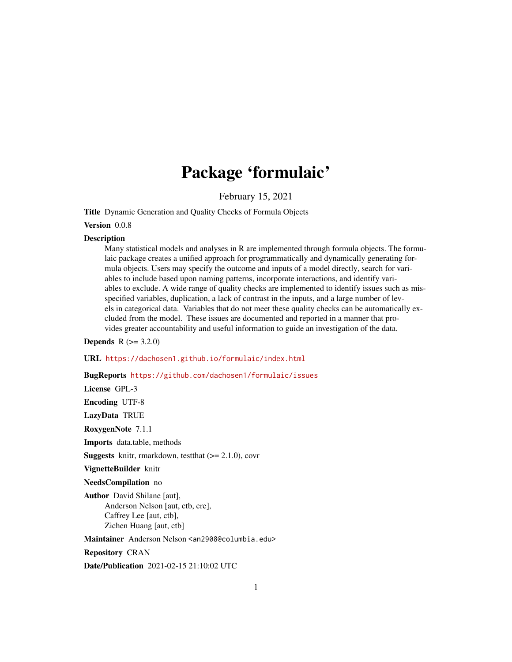## Package 'formulaic'

February 15, 2021

Title Dynamic Generation and Quality Checks of Formula Objects

#### Version 0.0.8

#### **Description**

Many statistical models and analyses in R are implemented through formula objects. The formulaic package creates a unified approach for programmatically and dynamically generating formula objects. Users may specify the outcome and inputs of a model directly, search for variables to include based upon naming patterns, incorporate interactions, and identify variables to exclude. A wide range of quality checks are implemented to identify issues such as misspecified variables, duplication, a lack of contrast in the inputs, and a large number of levels in categorical data. Variables that do not meet these quality checks can be automatically excluded from the model. These issues are documented and reported in a manner that provides greater accountability and useful information to guide an investigation of the data.

**Depends** R  $(>= 3.2.0)$ 

URL <https://dachosen1.github.io/formulaic/index.html>

#### BugReports <https://github.com/dachosen1/formulaic/issues>

License GPL-3

Encoding UTF-8

LazyData TRUE

RoxygenNote 7.1.1

Imports data.table, methods

**Suggests** knitr, rmarkdown, test that  $(>= 2.1.0)$ , covr

VignetteBuilder knitr

NeedsCompilation no

Author David Shilane [aut], Anderson Nelson [aut, ctb, cre], Caffrey Lee [aut, ctb], Zichen Huang [aut, ctb]

Maintainer Anderson Nelson <an2908@columbia.edu>

Repository CRAN

Date/Publication 2021-02-15 21:10:02 UTC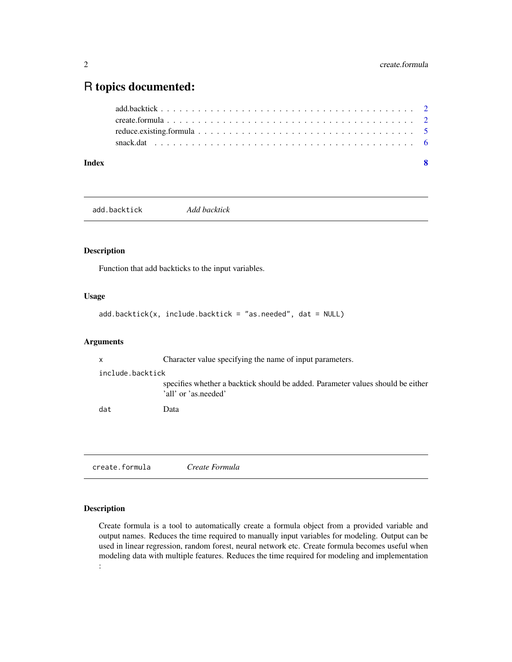### <span id="page-1-0"></span>R topics documented:

| Index | - 8 |  |
|-------|-----|--|
|       |     |  |
|       |     |  |
|       |     |  |
|       |     |  |

add.backtick *Add backtick*

#### Description

Function that add backticks to the input variables.

#### Usage

```
add.backtick(x, include.backtick = "as.needed", dat = NULL)
```
#### Arguments

x Character value specifying the name of input parameters. include.backtick specifies whether a backtick should be added. Parameter values should be either 'all' or 'as.needed' dat Data

create.formula *Create Formula*

#### Description

Create formula is a tool to automatically create a formula object from a provided variable and output names. Reduces the time required to manually input variables for modeling. Output can be used in linear regression, random forest, neural network etc. Create formula becomes useful when modeling data with multiple features. Reduces the time required for modeling and implementation :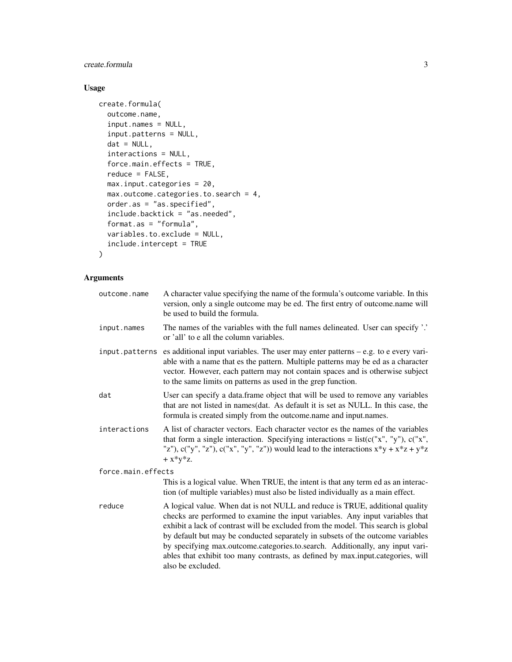#### create.formula 3

#### Usage

```
create.formula(
  outcome.name,
  input.names = NULL,
  input.patterns = NULL,
  dat = NULL,interactions = NULL,
  force.main.effects = TRUE,
  reduce = FALSE,
  max.input.categories = 20,
  max.outcome.categories.to.search = 4,
  order.as = "as.specified",
  include.backtick = "as.needed",
  format.as = "formula",
  variables.to.exclude = NULL,
  include.intercept = TRUE
\mathcal{L}
```
#### Arguments

| outcome.name       | A character value specifying the name of the formula's outcome variable. In this<br>version, only a single outcome may be ed. The first entry of outcome.name will<br>be used to build the formula.                                                                                                                                                                                                                                                                                                                           |
|--------------------|-------------------------------------------------------------------------------------------------------------------------------------------------------------------------------------------------------------------------------------------------------------------------------------------------------------------------------------------------------------------------------------------------------------------------------------------------------------------------------------------------------------------------------|
| input.names        | The names of the variables with the full names delineated. User can specify '.'<br>or 'all' to e all the column variables.                                                                                                                                                                                                                                                                                                                                                                                                    |
| input.patterns     | es additional input variables. The user may enter patterns $-$ e.g. to e every vari-<br>able with a name that es the pattern. Multiple patterns may be ed as a character<br>vector. However, each pattern may not contain spaces and is otherwise subject<br>to the same limits on patterns as used in the grep function.                                                                                                                                                                                                     |
| dat                | User can specify a data.frame object that will be used to remove any variables<br>that are not listed in names(dat. As default it is set as NULL. In this case, the<br>formula is created simply from the outcome.name and input.names.                                                                                                                                                                                                                                                                                       |
| interactions       | A list of character vectors. Each character vector es the names of the variables<br>that form a single interaction. Specifying interactions = $list(c("x", "y"), c("x",$<br>"z"), c("y", "z"), c("x", "y", "z")) would lead to the interactions $x*y + x*z + y*z$<br>$+ x * v * z.$                                                                                                                                                                                                                                           |
| force.main.effects |                                                                                                                                                                                                                                                                                                                                                                                                                                                                                                                               |
|                    | This is a logical value. When TRUE, the intent is that any term ed as an interac-<br>tion (of multiple variables) must also be listed individually as a main effect.                                                                                                                                                                                                                                                                                                                                                          |
| reduce             | A logical value. When dat is not NULL and reduce is TRUE, additional quality<br>checks are performed to examine the input variables. Any input variables that<br>exhibit a lack of contrast will be excluded from the model. This search is global<br>by default but may be conducted separately in subsets of the outcome variables<br>by specifying max.outcome.categories.to.search. Additionally, any input vari-<br>ables that exhibit too many contrasts, as defined by max.input.categories, will<br>also be excluded. |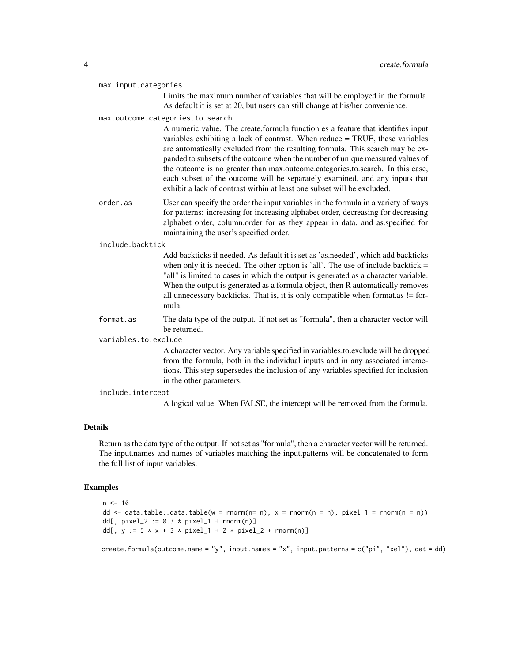max.input.categories

Limits the maximum number of variables that will be employed in the formula. As default it is set at 20, but users can still change at his/her convenience.

#### max.outcome.categories.to.search

A numeric value. The create.formula function es a feature that identifies input variables exhibiting a lack of contrast. When reduce = TRUE, these variables are automatically excluded from the resulting formula. This search may be expanded to subsets of the outcome when the number of unique measured values of the outcome is no greater than max.outcome.categories.to.search. In this case, each subset of the outcome will be separately examined, and any inputs that exhibit a lack of contrast within at least one subset will be excluded.

order.as User can specify the order the input variables in the formula in a variety of ways for patterns: increasing for increasing alphabet order, decreasing for decreasing alphabet order, column.order for as they appear in data, and as.specified for maintaining the user's specified order.

#### include.backtick

Add backticks if needed. As default it is set as 'as.needed', which add backticks when only it is needed. The other option is 'all'. The use of include.backtick  $=$ "all" is limited to cases in which the output is generated as a character variable. When the output is generated as a formula object, then R automatically removes all unnecessary backticks. That is, it is only compatible when format as  $!=$  formula.

format.as The data type of the output. If not set as "formula", then a character vector will be returned.

#### variables.to.exclude

A character vector. Any variable specified in variables.to.exclude will be dropped from the formula, both in the individual inputs and in any associated interactions. This step supersedes the inclusion of any variables specified for inclusion in the other parameters.

#### include.intercept

A logical value. When FALSE, the intercept will be removed from the formula.

#### Details

Return as the data type of the output. If not set as "formula", then a character vector will be returned. The input.names and names of variables matching the input.patterns will be concatenated to form the full list of input variables.

#### Examples

```
n < -10dd \le- data.table::data.table(w = rnorm(n= n), x = rnorm(n = n), pixel_1 = rnorm(n = n))
dd[, pixel_2 := 0.3 * pixel_1 + rnorm(n)]
dd[, y := 5 * x + 3 * pixel_1 + 2 * pixel_2 + rnorm(n)]
```
create.formula(outcome.name = "y", input.names = "x", input.patterns = c("pi", "xel"), dat = dd)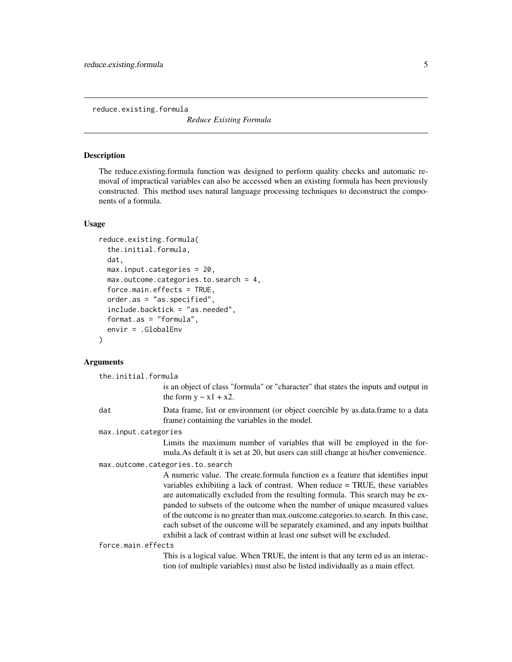<span id="page-4-0"></span>reduce.existing.formula

*Reduce Existing Formula*

#### Description

The reduce.existing.formula function was designed to perform quality checks and automatic removal of impractical variables can also be accessed when an existing formula has been previously constructed. This method uses natural language processing techniques to deconstruct the components of a formula.

#### Usage

```
reduce.existing.formula(
  the.initial.formula,
  dat,
 max.input.categories = 20,
 max.outcome.categories.to.search = 4,
  force.main.effects = TRUE,
  order.as = "as.specified",
  include.backtick = "as.needed",
  format.as = "formula",
  envir = .GlobalEnv
)
```
#### Arguments

the.initial.formula

is an object of class "formula" or "character" that states the inputs and output in the form  $y \sim x1 + x2$ .

dat Data frame, list or environment (or object coercible by as.data.frame to a data frame) containing the variables in the model.

max.input.categories

Limits the maximum number of variables that will be employed in the formula.As default it is set at 20, but users can still change at his/her convenience.

max.outcome.categories.to.search

A numeric value. The create.formula function es a feature that identifies input variables exhibiting a lack of contrast. When reduce = TRUE, these variables are automatically excluded from the resulting formula. This search may be expanded to subsets of the outcome when the number of unique measured values of the outcome is no greater than max.outcome.categories.to.search. In this case, each subset of the outcome will be separately examined, and any inputs builthat exhibit a lack of contrast within at least one subset will be excluded.

force.main.effects

This is a logical value. When TRUE, the intent is that any term ed as an interaction (of multiple variables) must also be listed individually as a main effect.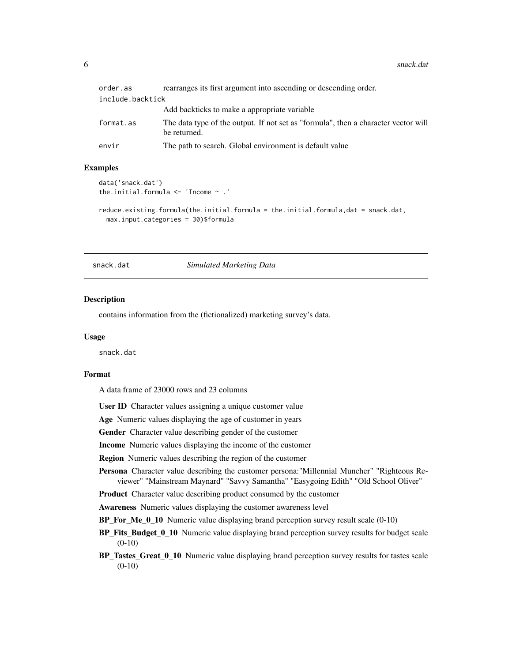<span id="page-5-0"></span>

| order.as         | rearranges its first argument into ascending or descending order.                                  |
|------------------|----------------------------------------------------------------------------------------------------|
| include.backtick |                                                                                                    |
|                  | Add backticks to make a appropriate variable                                                       |
| format.as        | The data type of the output. If not set as "formula", then a character vector will<br>be returned. |
| envir            | The path to search. Global environment is default value                                            |

#### Examples

```
data('snack.dat')
the.initial.formula <- 'Income ~ .'
```

```
reduce.existing.formula(the.initial.formula = the.initial.formula,dat = snack.dat,
 max.input.categories = 30)$formula
```
snack.dat *Simulated Marketing Data*

#### Description

contains information from the (fictionalized) marketing survey's data.

#### Usage

snack.dat

#### Format

A data frame of 23000 rows and 23 columns

User ID Character values assigning a unique customer value

Age Numeric values displaying the age of customer in years

Gender Character value describing gender of the customer

Income Numeric values displaying the income of the customer

Region Numeric values describing the region of the customer

Persona Character value describing the customer persona:"Millennial Muncher" "Righteous Reviewer" "Mainstream Maynard" "Savvy Samantha" "Easygoing Edith" "Old School Oliver"

Product Character value describing product consumed by the customer

Awareness Numeric values displaying the customer awareness level

BP\_For\_Me\_0\_10 Numeric value displaying brand perception survey result scale (0-10)

BP\_Fits\_Budget\_0\_10 Numeric value displaying brand perception survey results for budget scale  $(0-10)$ 

BP\_Tastes\_Great\_0\_10 Numeric value displaying brand perception survey results for tastes scale (0-10)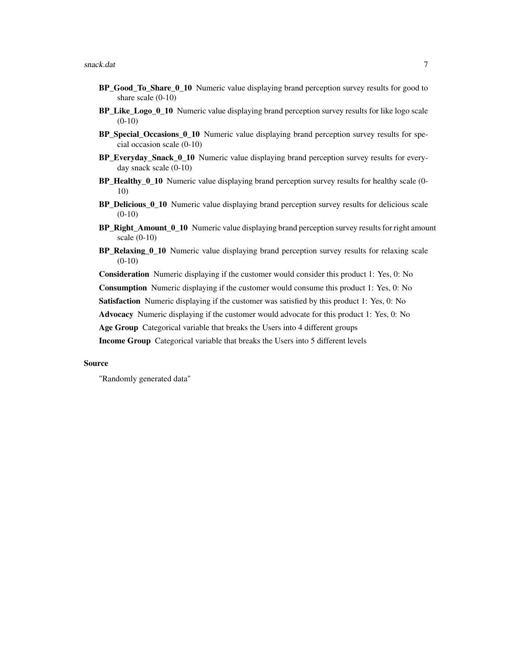- BP\_Good\_To\_Share\_0\_10 Numeric value displaying brand perception survey results for good to share scale (0-10)
- BP\_Like\_Logo\_0\_10 Numeric value displaying brand perception survey results for like logo scale  $(0-10)$
- BP Special Occasions 0 10 Numeric value displaying brand perception survey results for special occasion scale (0-10)
- BP\_Everyday\_Snack\_0\_10 Numeric value displaying brand perception survey results for everyday snack scale (0-10)
- BP\_Healthy\_0\_10 Numeric value displaying brand perception survey results for healthy scale (0-10)
- BP\_Delicious\_0\_10 Numeric value displaying brand perception survey results for delicious scale  $(0-10)$
- BP\_Right\_Amount\_0\_10 Numeric value displaying brand perception survey results for right amount scale (0-10)
- BP\_Relaxing\_0\_10 Numeric value displaying brand perception survey results for relaxing scale (0-10)

Consideration Numeric displaying if the customer would consider this product 1: Yes, 0: No

Consumption Numeric displaying if the customer would consume this product 1: Yes, 0: No

Satisfaction Numeric displaying if the customer was satisfied by this product 1: Yes, 0: No

Advocacy Numeric displaying if the customer would advocate for this product 1: Yes, 0: No

Age Group Categorical variable that breaks the Users into 4 different groups

Income Group Categorical variable that breaks the Users into 5 different levels

#### Source

"Randomly generated data"